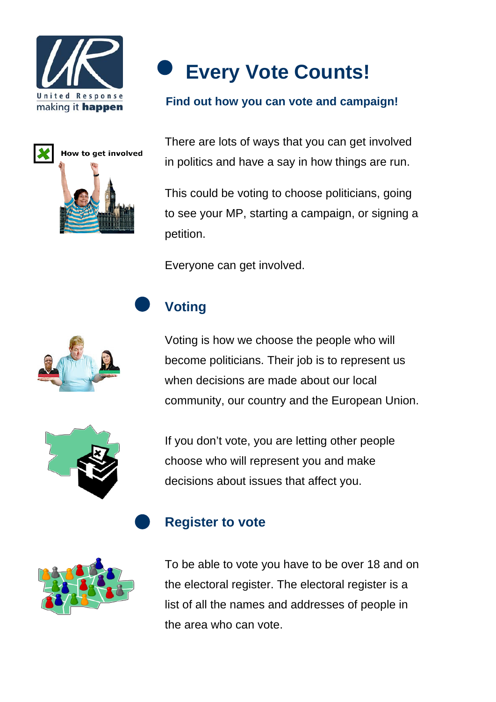





#### **Find out how you can vote and campaign!**

There are lots of ways that you can get involved in politics and have a say in how things are run.

This could be voting to choose politicians, going to see your MP, starting a campaign, or signing a petition.

Everyone can get involved.

# **Voting**



Voting is how we choose the people who will become politicians. Their job is to represent us when decisions are made about our local community, our country and the European Union.

If you don't vote, you are letting other people choose who will represent you and make decisions about issues that affect you.

#### **Register to vote**



To be able to vote you have to be over 18 and on the electoral register. The electoral register is a list of all the names and addresses of people in the area who can vote.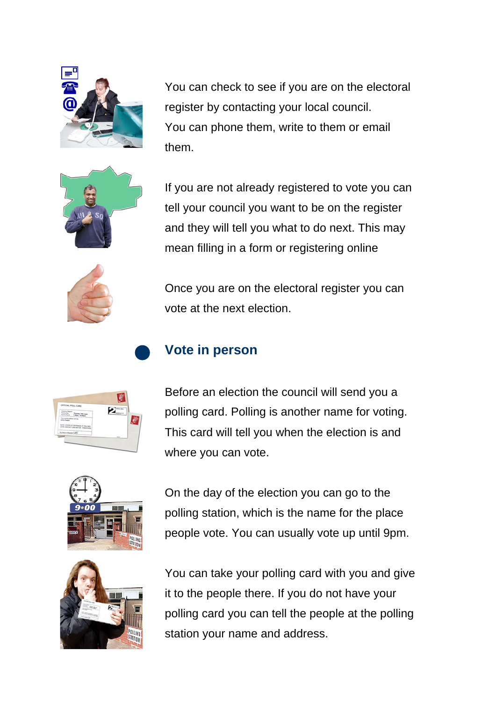

You can check to see if you are on the electoral register by contacting your local council. You can phone them, write to them or email them.



If you are not already registered to vote you can tell your council you want to be on the register and they will tell you what to do next. This may mean filling in a form or registering online



Once you are on the electoral register you can vote at the next election.

# **Vote in person**



Before an election the council will send you a polling card. Polling is another name for voting. This card will tell you when the election is and where you can vote.





On the day of the election you can go to the polling station, which is the name for the place people vote. You can usually vote up until 9pm.

You can take your polling card with you and give it to the people there. If you do not have your polling card you can tell the people at the polling station your name and address.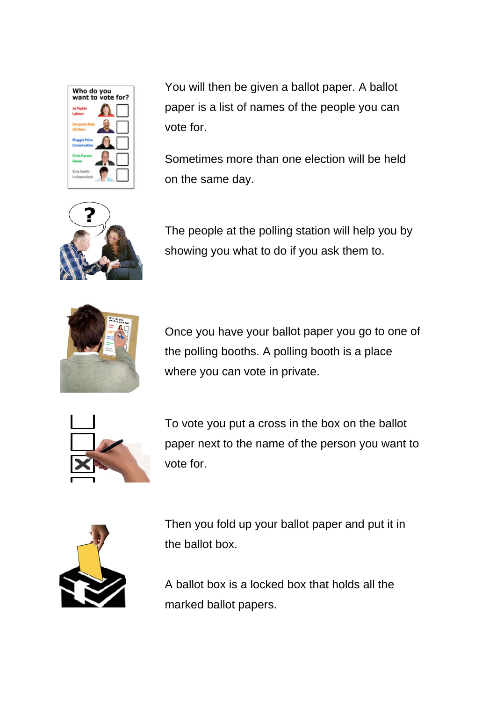

You will then be given a ballot paper. A ballot paper is a list of names of the people you can vote for.

Sometimes more than one election will be held on the same day.

The people at the polling station will help you by showing you what to do if you ask them to.



Once you have your ballot paper you go to one of the polling booths. A polling booth is a place where you can vote in private.



To vote you put a cross in the box on the ballot paper next to the name of the person you want to vote for.



Then you fold up your ballot paper and put it in the ballot box.

A ballot box is a locked box that holds all the marked ballot papers.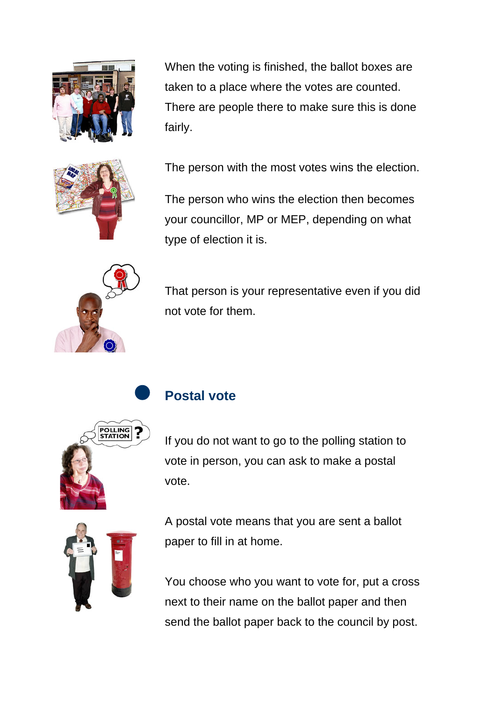

When the voting is finished, the ballot boxes are taken to a place where the votes are counted. There are people there to make sure this is done fairly.



The person with the most votes wins the election.

The person who wins the election then becomes your councillor, MP or MEP, depending on what type of election it is.



That person is your representative even if you did not vote for them.



#### **Postal vote**

If you do not want to go to the polling station to vote in person, you can ask to make a postal vote.



A postal vote means that you are sent a ballot paper to fill in at home.

You choose who you want to vote for, put a cross next to their name on the ballot paper and then send the ballot paper back to the council by post.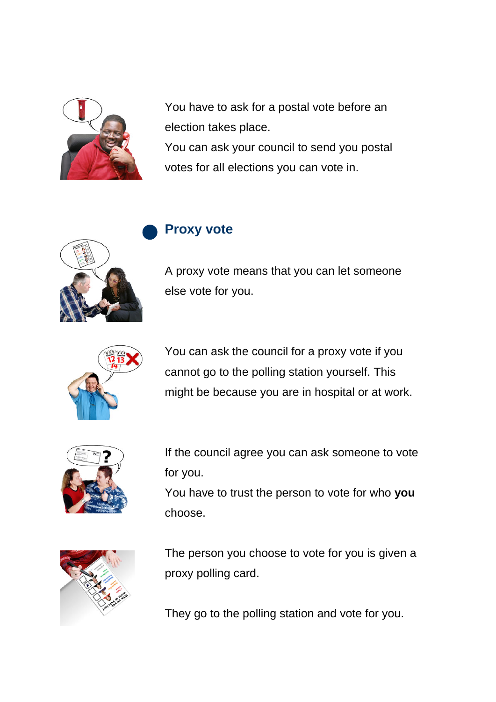

You have to ask for a postal vote before an election takes place. You can ask your council to send you postal votes for all elections you can vote in.

#### **Proxy vote**



A proxy vote means that you can let someone else vote for you.



You can ask the council for a proxy vote if you cannot go to the polling station yourself. This might be because you are in hospital or at work.



If the council agree you can ask someone to vote for you.

You have to trust the person to vote for who **you** choose.



The person you choose to vote for you is given a proxy polling card.

They go to the polling station and vote for you.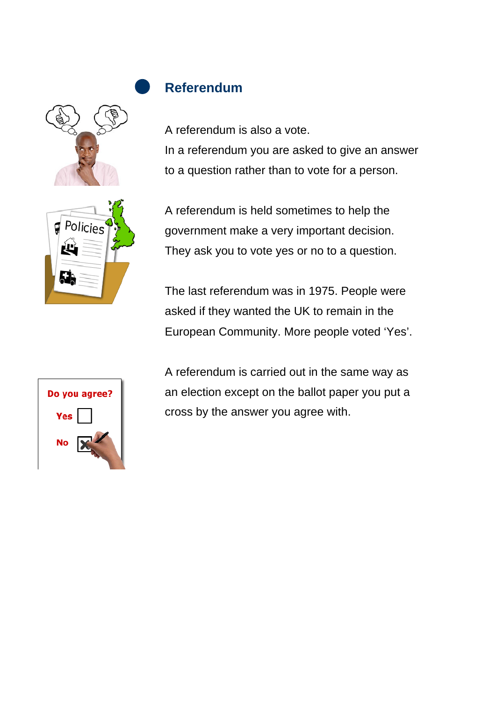



## **Referendum**

A referendum is also a vote. In a referendum you are asked to give an answer to a question rather than to vote for a person.

A referendum is held sometimes to help the government make a very important decision. They ask you to vote yes or no to a question.

The last referendum was in 1975. People were asked if they wanted the UK to remain in the European Community. More people voted 'Yes'.

| Do you agree? |  |
|---------------|--|
| Yes           |  |
| No            |  |

A referendum is carried out in the same way as an election except on the ballot paper you put a cross by the answer you agree with.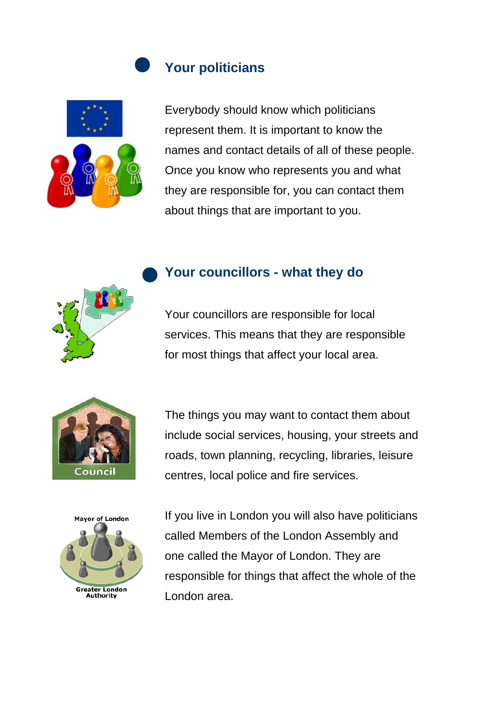## **Your politicians**



Everybody should know which politicians represent them. It is important to know the names and contact details of all of these people. Once you know who represents you and what they are responsible for, you can contact them about things that are important to you.







**Mavor of London Greater London** Authority

The things you may want to contact them about include social services, housing, your streets and roads, town planning, recycling, libraries, leisure centres, local police and fire services.

If you live in London you will also have politicians called Members of the London Assembly and one called the Mayor of London. They are responsible for things that affect the whole of the London area.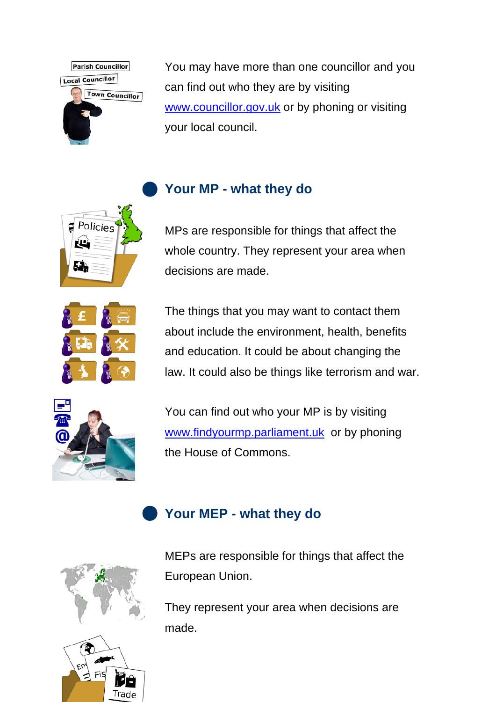

 $\Box$  Policies

ĽЦ

You may have more than one councillor and you can find out who they are by visiting [www.councillor.gov.uk](http://www.councillor.gov.uk/) or by phoning or visiting your local council.

## **Your MP - what they do**

MPs are responsible for things that affect the whole country. They represent your area when decisions are made.

The things that you may want to contact them about include the environment, health, benefits and education. It could be about changing the law. It could also be things like terrorism and war.



You can find out who your MP is by visiting [www.findyourmp.parliament.uk](http://www.findyourmp.parliament.uk/) or by phoning the House of Commons.

# **Your MEP - what they do**



Fis

Trade

MEPs are responsible for things that affect the European Union.

They represent your area when decisions are made.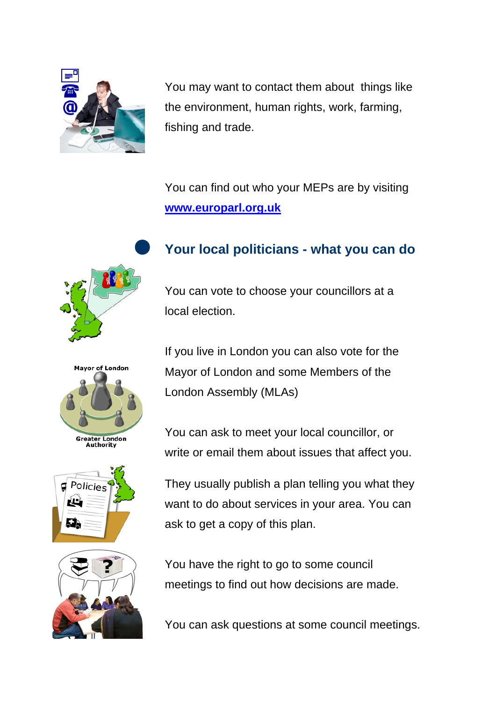

You may want to contact them about things like the environment, human rights, work, farming, fishing and trade.

You can find out who your MEPs are by visiting **[www.europarl.org.uk](http://www.europarl.org.uk/)**









#### **Your local politicians - what you can do**

You can vote to choose your councillors at a local election.

If you live in London you can also vote for the Mayor of London and some Members of the London Assembly (MLAs)

You can ask to meet your local councillor, or write or email them about issues that affect you.

They usually publish a plan telling you what they want to do about services in your area. You can ask to get a copy of this plan.

You have the right to go to some council meetings to find out how decisions are made.

You can ask questions at some council meetings.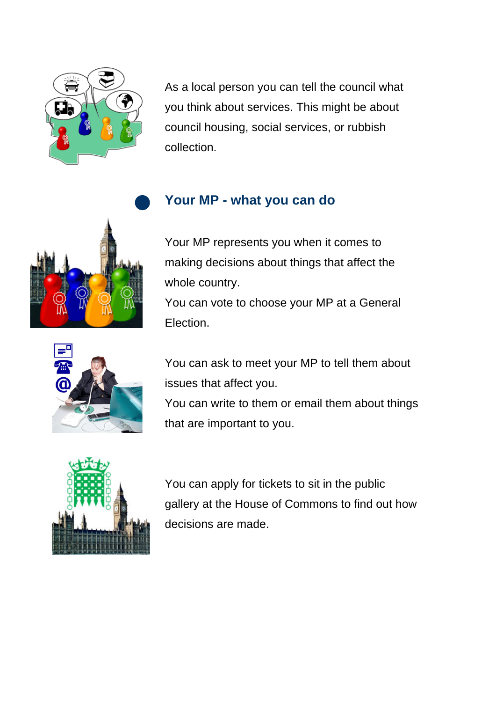

As a local person you can tell the council what you think about services. This might be about council housing, social services, or rubbish collection.

#### **Your MP - what you can do**

Your MP represents you when it comes to making decisions about things that affect the whole country.

You can vote to choose your MP at a General Election.

You can ask to meet your MP to tell them about issues that affect you.

You can write to them or email them about things that are important to you.



You can apply for tickets to sit in the public gallery at the House of Commons to find out how decisions are made.



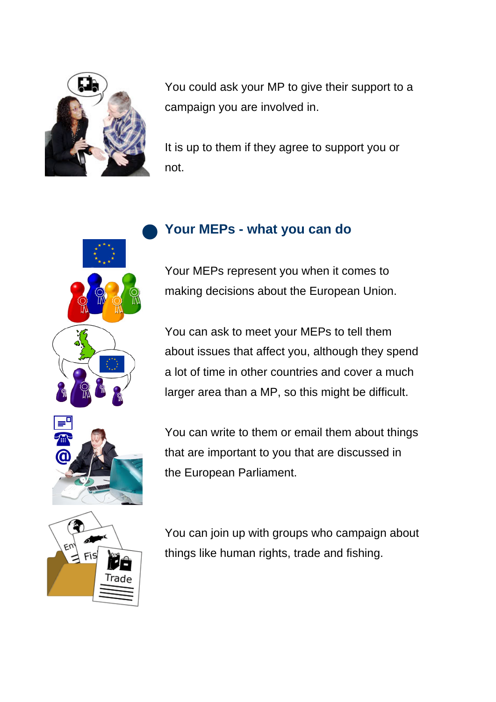

You could ask your MP to give their support to a campaign you are involved in.

It is up to them if they agree to support you or not.

#### **Your MEPs - what you can do**

Your MEPs represent you when it comes to making decisions about the European Union.

You can ask to meet your MEPs to tell them about issues that affect you, although they spend a lot of time in other countries and cover a much larger area than a MP, so this might be difficult.



You can write to them or email them about things that are important to you that are discussed in the European Parliament.



You can join up with groups who campaign about things like human rights, trade and fishing.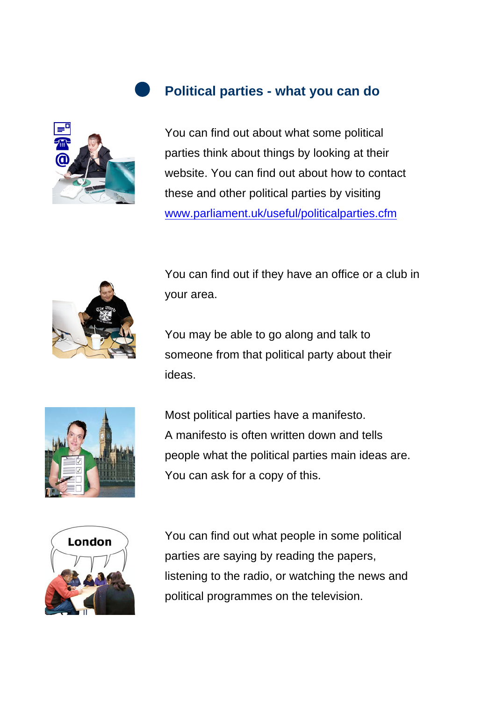#### **Political parties - what you can do**



You can find out about what some political parties think about things by looking at their website. You can find out about how to contact these and other political parties by visiting [www.parliament.uk/useful/politicalparties.cfm](http://www.parliament.uk/useful/politicalparties.cfm) 



You can find out if they have an office or a club in your area.

You may be able to go along and talk to someone from that political party about their ideas.



Most political parties have a manifesto. A manifesto is often written down and tells people what the political parties main ideas are. You can ask for a copy of this.



You can find out what people in some political parties are saying by reading the papers, listening to the radio, or watching the news and political programmes on the television.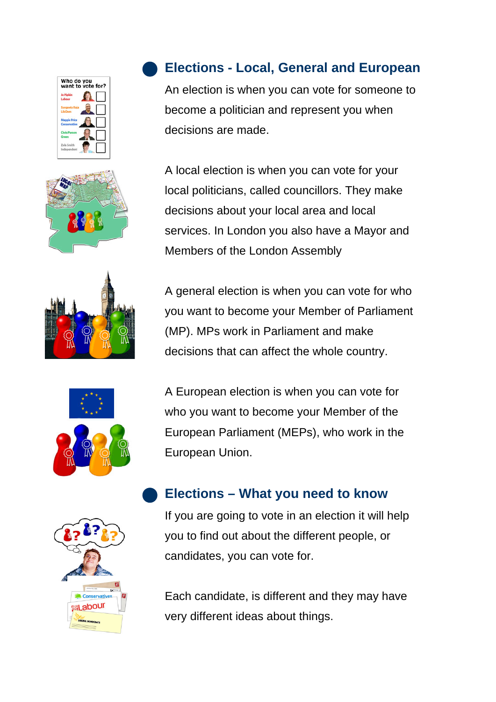









#### **Elections - Local, General and European**

An election is when you can vote for someone to become a politician and represent you when decisions are made.

A local election is when you can vote for your local politicians, called councillors. They make decisions about your local area and local services. In London you also have a Mayor and Members of the London Assembly

A general election is when you can vote for who you want to become your Member of Parliament (MP). MPs work in Parliament and make decisions that can affect the whole country.

A European election is when you can vote for who you want to become your Member of the European Parliament (MEPs), who work in the European Union.

## **Elections – What you need to know**

If you are going to vote in an election it will help you to find out about the different people, or candidates, you can vote for.

Each candidate, is different and they may have very different ideas about things.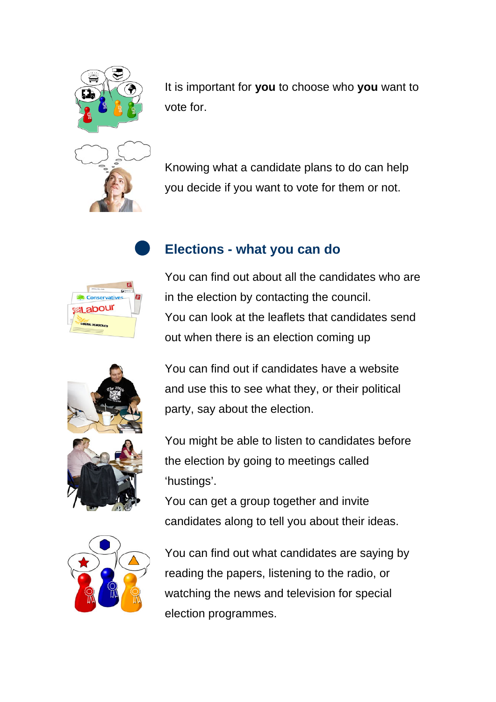

It is important for **you** to choose who **you** want to vote for.

Knowing what a candidate plans to do can help you decide if you want to vote for them or not.











You can find out about all the candidates who are in the election by contacting the council. You can look at the leaflets that candidates send out when there is an election coming up

You can find out if candidates have a website and use this to see what they, or their political party, say about the election.

You might be able to listen to candidates before the election by going to meetings called 'hustings'.

You can get a group together and invite candidates along to tell you about their ideas.

You can find out what candidates are saying by reading the papers, listening to the radio, or watching the news and television for special election programmes.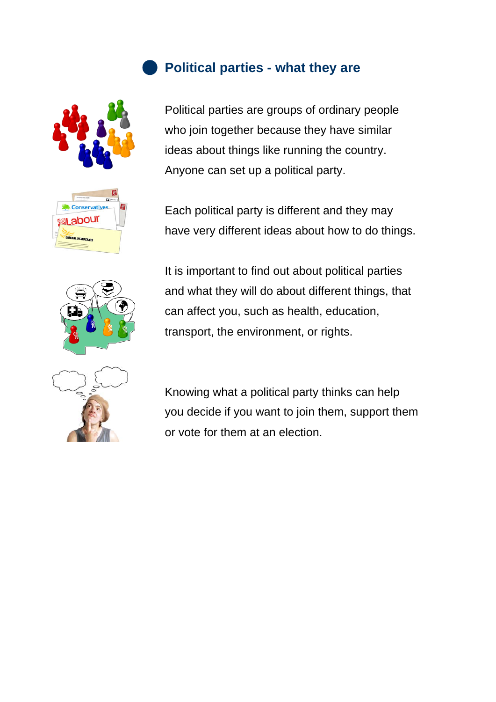



#### **Political parties - what they are**

Political parties are groups of ordinary people who join together because they have similar ideas about things like running the country. Anyone can set up a political party.

Each political party is different and they may have very different ideas about how to do things.



It is important to find out about political parties and what they will do about different things, that can affect you, such as health, education, transport, the environment, or rights.



Knowing what a political party thinks can help you decide if you want to join them, support them or vote for them at an election.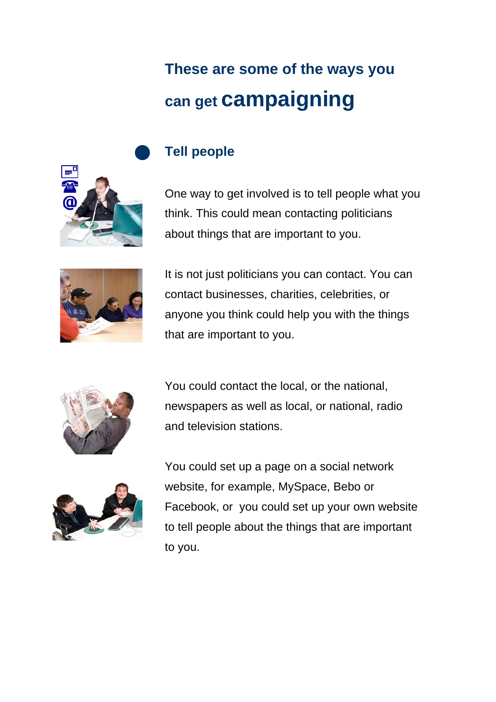# **These are some of the ways you can get campaigning**



### **Tell people**

One way to get involved is to tell people what you think. This could mean contacting politicians about things that are important to you.



It is not just politicians you can contact. You can contact businesses, charities, celebrities, or anyone you think could help you with the things that are important to you.



You could contact the local, or the national, newspapers as well as local, or national, radio and television stations.



You could set up a page on a social network website, for example, MySpace, Bebo or Facebook, or you could set up your own website to tell people about the things that are important to you.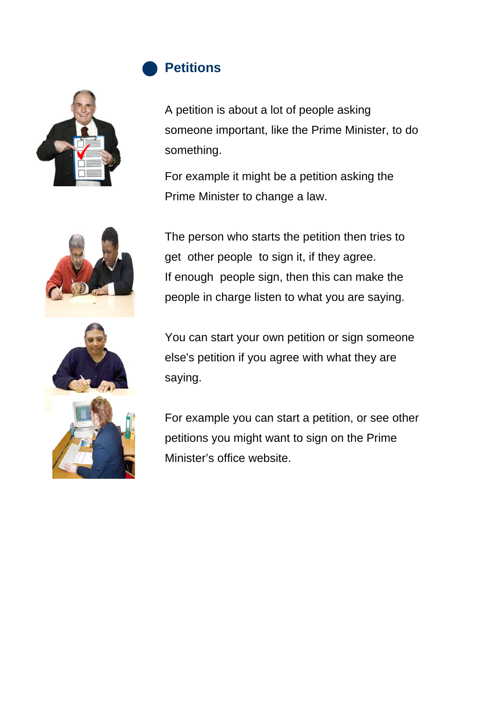



A petition is about a lot of people asking someone important, like the Prime Minister, to do something.

For example it might be a petition asking the Prime Minister to change a law.



The person who starts the petition then tries to get other people to sign it, if they agree. If enough people sign, then this can make the people in charge listen to what you are saying.



You can start your own petition or sign someone else's petition if you agree with what they are saying.

For example you can start a petition, or see other petitions you might want to sign on the Prime Minister's office website.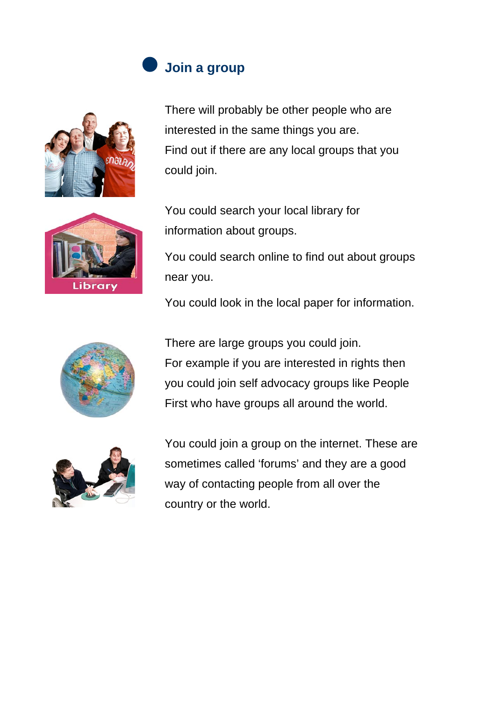## **Join a group**



There will probably be other people who are interested in the same things you are. Find out if there are any local groups that you could join.



You could search your local library for information about groups.

You could search online to find out about groups near you.

You could look in the local paper for information.



There are large groups you could join. For example if you are interested in rights then you could join self advocacy groups like People First who have groups all around the world.



You could join a group on the internet. These are sometimes called 'forums' and they are a good way of contacting people from all over the country or the world.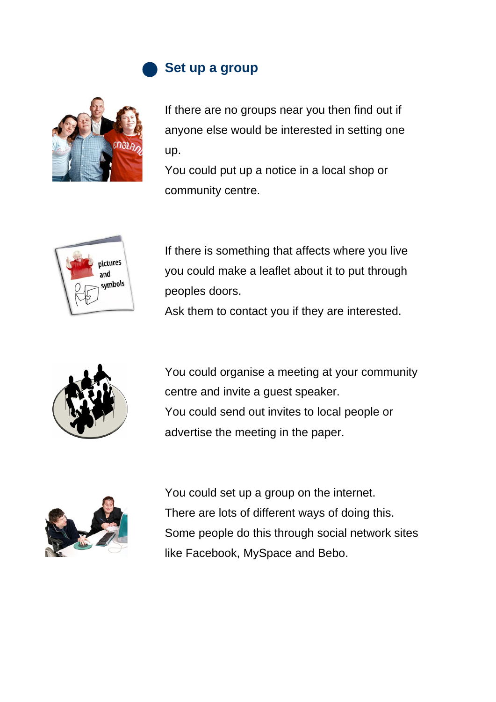

#### **Set up a group**



If there are no groups near you then find out if anyone else would be interested in setting one up.

You could put up a notice in a local shop or community centre.



If there is something that affects where you live you could make a leaflet about it to put through peoples doors.

Ask them to contact you if they are interested.



You could organise a meeting at your community centre and invite a guest speaker. You could send out invites to local people or advertise the meeting in the paper.



You could set up a group on the internet. There are lots of different ways of doing this. Some people do this through social network sites like Facebook, MySpace and Bebo.